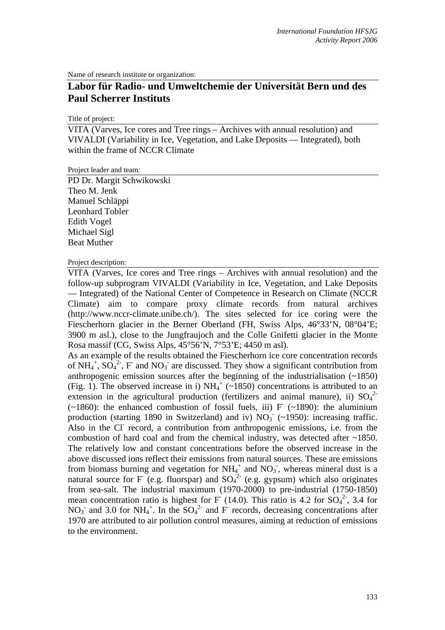Name of research institute or organization:

## **Labor für Radio- und Umweltchemie der Universität Bern und des Paul Scherrer Instituts**

Title of project:

VITA (Varves, Ice cores and Tree rings – Archives with annual resolution) and VIVALDI (Variability in Ice, Vegetation, and Lake Deposits — Integrated), both within the frame of NCCR Climate

Project leader and team:

PD Dr. Margit Schwikowski Theo M. Jenk Manuel Schläppi Leonhard Tobler Edith Vogel Michael Sigl Beat Muther

Project description:

VITA (Varves, Ice cores and Tree rings – Archives with annual resolution) and the follow-up subprogram VIVALDI (Variability in Ice, Vegetation, and Lake Deposits — Integrated) of the National Center of Competence in Research on Climate (NCCR Climate) aim to compare proxy climate records from natural archives (http://www.nccr-climate.unibe.ch/). The sites selected for ice coring were the Fiescherhorn glacier in the Berner Oberland (FH, Swiss Alps, 46°33'N, 08°04'E; 3900 m asl.), close to the Jungfraujoch and the Colle Gnifetti glacier in the Monte Rosa massif (CG, Swiss Alps, 45°56'N, 7°53'E; 4450 m asl).

As an example of the results obtained the Fiescherhorn ice core concentration records of NH<sub>4</sub><sup>+</sup>, SO<sub>4</sub><sup>2</sup>-, F<sup>-</sup> and NO<sub>3</sub><sup>-</sup> are discussed. They show a significant contribution from anthropogenic emission sources after the beginning of the industrialisation (~1850) (Fig. 1). The observed increase in i)  $NH_4^+$  (~1850) concentrations is attributed to an extension in the agricultural production (fertilizers and animal manure), ii)  $SO_4^2$  $(-1860)$ : the enhanced combustion of fossil fuels, iii) F  $(-1890)$ : the aluminium production (starting 1890 in Switzerland) and iv)  $NO<sub>3</sub>^-$  (~1950): increasing traffic. Also in the Cl<sup>-</sup> record, a contribution from anthropogenic emissions, i.e. from the combustion of hard coal and from the chemical industry, was detected after  $\sim$ 1850. The relatively low and constant concentrations before the observed increase in the above discussed ions reflect their emissions from natural sources. These are emissions from biomass burning and vegetation for  $NH_4^+$  and  $NO_3^-$ , whereas mineral dust is a natural source for F (e.g. fluorspar) and  $SO_4^2$  (e.g. gypsum) which also originates from sea-salt. The industrial maximum (1970-2000) to pre-industrial (1750-1850) mean concentration ratio is highest for F (14.0). This ratio is 4.2 for  $SO_4^2$ , 3.4 for NO<sub>3</sub> and 3.0 for NH<sub>4</sub><sup>+</sup>. In the  $SO_4^2$  and F records, decreasing concentrations after 1970 are attributed to air pollution control measures, aiming at reduction of emissions to the environment.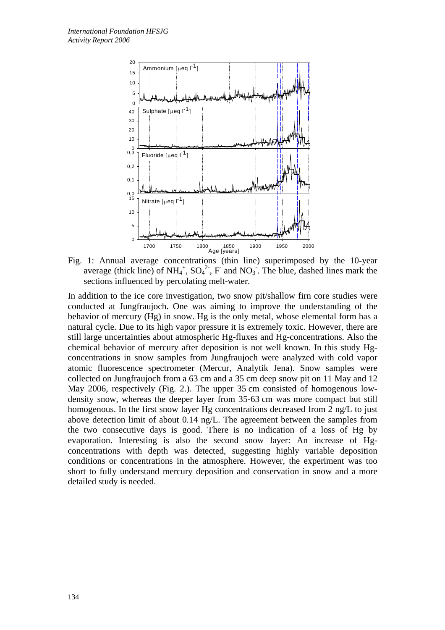

Fig. 1: Annual average concentrations (thin line) superimposed by the 10-year average (thick line) of  $NH_4^+$ ,  $SO_4^2$ , F and  $NO_3$ . The blue, dashed lines mark the sections influenced by percolating melt-water.

In addition to the ice core investigation, two snow pit/shallow firn core studies were conducted at Jungfraujoch. One was aiming to improve the understanding of the behavior of mercury (Hg) in snow. Hg is the only metal, whose elemental form has a natural cycle. Due to its high vapor pressure it is extremely toxic. However, there are still large uncertainties about atmospheric Hg-fluxes and Hg-concentrations. Also the chemical behavior of mercury after deposition is not well known. In this study Hgconcentrations in snow samples from Jungfraujoch were analyzed with cold vapor atomic fluorescence spectrometer (Mercur, Analytik Jena). Snow samples were collected on Jungfraujoch from a 63 cm and a 35 cm deep snow pit on 11 May and 12 May 2006, respectively (Fig. 2.). The upper 35 cm consisted of homogenous lowdensity snow, whereas the deeper layer from 35-63 cm was more compact but still homogenous. In the first snow layer Hg concentrations decreased from 2 ng/L to just above detection limit of about 0.14 ng/L. The agreement between the samples from the two consecutive days is good. There is no indication of a loss of Hg by evaporation. Interesting is also the second snow layer: An increase of Hgconcentrations with depth was detected, suggesting highly variable deposition conditions or concentrations in the atmosphere. However, the experiment was too short to fully understand mercury deposition and conservation in snow and a more detailed study is needed.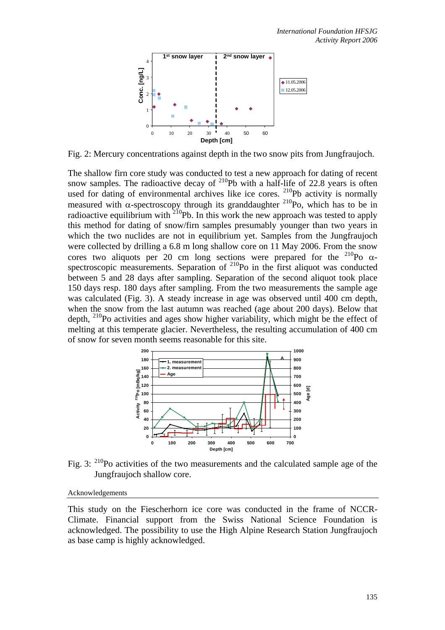

Fig. 2: Mercury concentrations against depth in the two snow pits from Jungfraujoch.

The shallow firn core study was conducted to test a new approach for dating of recent snow samples. The radioactive decay of  $^{210}Pb$  with a half-life of 22.8 years is often used for dating of environmental archives like ice cores. <sup>210</sup>Pb activity is normally measured with  $\alpha$ -spectroscopy through its granddaughter <sup>210</sup>Po, which has to be in radioactive equilibrium with  $^{210}$ Pb. In this work the new approach was tested to apply this method for dating of snow/firn samples presumably younger than two years in which the two nuclides are not in equilibrium yet. Samples from the Jungfraujoch were collected by drilling a 6.8 m long shallow core on 11 May 2006. From the snow cores two aliquots per 20 cm long sections were prepared for the  $^{210}$ Po  $\alpha$ spectroscopic measurements. Separation of  $^{210}$ Po in the first aliquot was conducted between 5 and 28 days after sampling. Separation of the second aliquot took place 150 days resp. 180 days after sampling. From the two measurements the sample age was calculated (Fig. 3). A steady increase in age was observed until 400 cm depth, when the snow from the last autumn was reached (age about 200 days). Below that depth,  $^{210}$ Po activities and ages show higher variability, which might be the effect of melting at this temperate glacier. Nevertheless, the resulting accumulation of 400 cm of snow for seven month seems reasonable for this site.



Fig. 3:  $2^{10}$ Po activities of the two measurements and the calculated sample age of the Jungfraujoch shallow core.

## Acknowledgements

This study on the Fiescherhorn ice core was conducted in the frame of NCCR-Climate. Financial support from the Swiss National Science Foundation is acknowledged. The possibility to use the High Alpine Research Station Jungfraujoch as base camp is highly acknowledged.